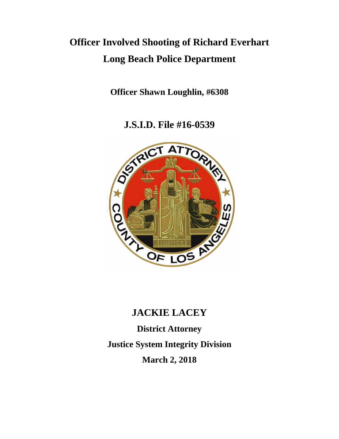# **Officer Involved Shooting of Richard Everhart Long Beach Police Department**

**Officer Shawn Loughlin, #6308**

**J.S.I.D. File #16-0539**



# **JACKIE LACEY**

**District Attorney Justice System Integrity Division March 2, 2018**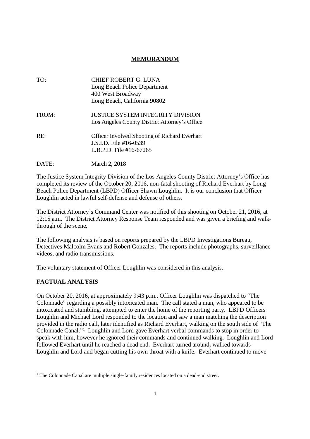## **MEMORANDUM**

| TO.   | CHIEF ROBERT G. LUNA<br>Long Beach Police Department<br>400 West Broadway<br>Long Beach, California 90802 |
|-------|-----------------------------------------------------------------------------------------------------------|
| FROM: | <b>JUSTICE SYSTEM INTEGRITY DIVISION</b><br>Los Angeles County District Attorney's Office                 |
| RF:   | <b>Officer Involved Shooting of Richard Everhart</b><br>J.S.I.D. File #16-0539<br>L.B.P.D. File #16-67265 |

The Justice System Integrity Division of the Los Angeles County District Attorney's Office has completed its review of the October 20, 2016, non-fatal shooting of Richard Everhart by Long Beach Police Department (LBPD) Officer Shawn Loughlin. It is our conclusion that Officer Loughlin acted in lawful self-defense and defense of others.

The District Attorney's Command Center was notified of this shooting on October 21, 2016, at 12:15 a.m. The District Attorney Response Team responded and was given a briefing and walkthrough of the scene**.**

The following analysis is based on reports prepared by the LBPD Investigations Bureau, Detectives Malcolm Evans and Robert Gonzales. The reports include photographs, surveillance videos, and radio transmissions.

The voluntary statement of Officer Loughlin was considered in this analysis.

# **FACTUAL ANALYSIS**

DATE: March 2, 2018

On October 20, 2016, at approximately 9:43 p.m., Officer Loughlin was dispatched to "The Colonnade" regarding a possibly intoxicated man. The call stated a man, who appeared to be intoxicated and stumbling, attempted to enter the home of the reporting party. LBPD Officers Loughlin and Michael Lord responded to the location and saw a man matching the description provided in the radio call, later identified as Richard Everhart, walking on the south side of "The Colonnade Canal."<sup>1</sup> Loughlin and Lord gave Everhart verbal commands to stop in order to speak with him, however he ignored their commands and continued walking. Loughlin and Lord followed Everhart until he reached a dead end. Everhart turned around, walked towards Loughlin and Lord and began cutting his own throat with a knife. Everhart continued to move

<sup>&</sup>lt;sup>1</sup> The Colonnade Canal are multiple single-family residences located on a dead-end street.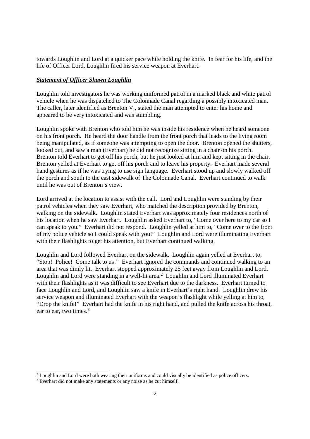towards Loughlin and Lord at a quicker pace while holding the knife. In fear for his life, and the life of Officer Lord, Loughlin fired his service weapon at Everhart.

#### *Statement of Officer Shawn Loughlin*

Loughlin told investigators he was working uniformed patrol in a marked black and white patrol vehicle when he was dispatched to The Colonnade Canal regarding a possibly intoxicated man. The caller, later identified as Brenton V., stated the man attempted to enter his home and appeared to be very intoxicated and was stumbling.

Loughlin spoke with Brenton who told him he was inside his residence when he heard someone on his front porch. He heard the door handle from the front porch that leads to the living room being manipulated, as if someone was attempting to open the door. Brenton opened the shutters, looked out, and saw a man (Everhart) he did not recognize sitting in a chair on his porch. Brenton told Everhart to get off his porch, but he just looked at him and kept sitting in the chair. Brenton yelled at Everhart to get off his porch and to leave his property. Everhart made several hand gestures as if he was trying to use sign language. Everhart stood up and slowly walked off the porch and south to the east sidewalk of The Colonnade Canal. Everhart continued to walk until he was out of Brenton's view.

Lord arrived at the location to assist with the call. Lord and Loughlin were standing by their patrol vehicles when they saw Everhart, who matched the description provided by Brenton, walking on the sidewalk. Loughlin stated Everhart was approximately four residences north of his location when he saw Everhart. Loughlin asked Everhart to, "Come over here to my car so I can speak to you." Everhart did not respond. Loughlin yelled at him to, "Come over to the front of my police vehicle so I could speak with you!" Loughlin and Lord were illuminating Everhart with their flashlights to get his attention, but Everhart continued walking.

Loughlin and Lord followed Everhart on the sidewalk. Loughlin again yelled at Everhart to, "Stop! Police! Come talk to us!" Everhart ignored the commands and continued walking to an area that was dimly lit. Everhart stopped approximately 25 feet away from Loughlin and Lord. Loughlin and Lord were standing in a well-lit area.<sup>2</sup> Loughlin and Lord illuminated Everhart with their flashlights as it was difficult to see Everhart due to the darkness. Everhart turned to face Loughlin and Lord, and Loughlin saw a knife in Everhart's right hand. Loughlin drew his service weapon and illuminated Everhart with the weapon's flashlight while yelling at him to, "Drop the knife!" Everhart had the knife in his right hand, and pulled the knife across his throat, ear to ear, two times.<sup>3</sup>

<sup>&</sup>lt;sup>2</sup> Loughlin and Lord were both wearing their uniforms and could visually be identified as police officers.

<sup>&</sup>lt;sup>3</sup> Everhart did not make any statements or any noise as he cut himself.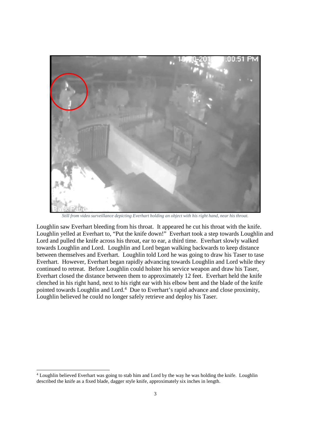

*Still from video surveillance depicting Everhart holding an object with his right hand, near his throat.*

Loughlin saw Everhart bleeding from his throat. It appeared he cut his throat with the knife. Loughlin yelled at Everhart to, "Put the knife down!" Everhart took a step towards Loughlin and Lord and pulled the knife across his throat, ear to ear, a third time. Everhart slowly walked towards Loughlin and Lord. Loughlin and Lord began walking backwards to keep distance between themselves and Everhart. Loughlin told Lord he was going to draw his Taser to tase Everhart. However, Everhart began rapidly advancing towards Loughlin and Lord while they continued to retreat. Before Loughlin could holster his service weapon and draw his Taser, Everhart closed the distance between them to approximately 12 feet. Everhart held the knife clenched in his right hand, next to his right ear with his elbow bent and the blade of the knife pointed towards Loughlin and Lord.<sup>4</sup> Due to Everhart's rapid advance and close proximity, Loughlin believed he could no longer safely retrieve and deploy his Taser.

<sup>4</sup> Loughlin believed Everhart was going to stab him and Lord by the way he was holding the knife. Loughlin described the knife as a fixed blade, dagger style knife, approximately six inches in length.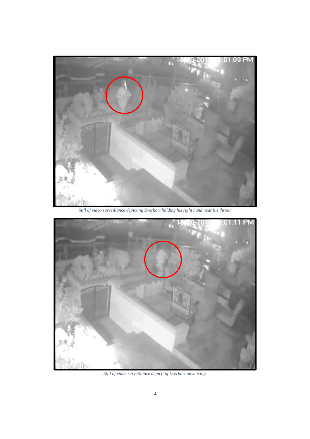

*Still of video surveillance depicting Everhart holding his right hand near his throat.*



*Still of video surveillance depicting Everhart advancing.*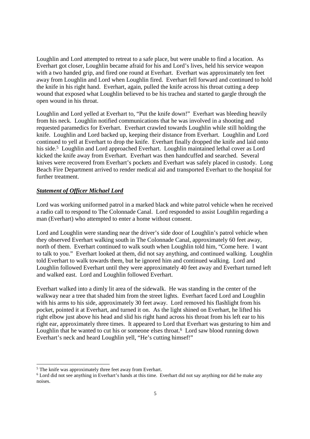Loughlin and Lord attempted to retreat to a safe place, but were unable to find a location. As Everhart got closer, Loughlin became afraid for his and Lord's lives, held his service weapon with a two handed grip, and fired one round at Everhart. Everhart was approximately ten feet away from Loughlin and Lord when Loughlin fired. Everhart fell forward and continued to hold the knife in his right hand. Everhart, again, pulled the knife across his throat cutting a deep wound that exposed what Loughlin believed to be his trachea and started to gargle through the open wound in his throat.

Loughlin and Lord yelled at Everhart to, "Put the knife down!" Everhart was bleeding heavily from his neck. Loughlin notified communications that he was involved in a shooting and requested paramedics for Everhart. Everhart crawled towards Loughlin while still holding the knife. Loughlin and Lord backed up, keeping their distance from Everhart. Loughlin and Lord continued to yell at Everhart to drop the knife. Everhart finally dropped the knife and laid onto his side.<sup>5</sup> Loughlin and Lord approached Everhart. Loughlin maintained lethal cover as Lord kicked the knife away from Everhart. Everhart was then handcuffed and searched. Several knives were recovered from Everhart's pockets and Everhart was safely placed in custody. Long Beach Fire Department arrived to render medical aid and transported Everhart to the hospital for further treatment.

#### *Statement of Officer Michael Lord*

Lord was working uniformed patrol in a marked black and white patrol vehicle when he received a radio call to respond to The Colonnade Canal. Lord responded to assist Loughlin regarding a man (Everhart) who attempted to enter a home without consent.

Lord and Loughlin were standing near the driver's side door of Loughlin's patrol vehicle when they observed Everhart walking south in The Colonnade Canal, approximately 60 feet away, north of them. Everhart continued to walk south when Loughlin told him, "Come here. I want to talk to you." Everhart looked at them, did not say anything, and continued walking. Loughlin told Everhart to walk towards them, but he ignored him and continued walking. Lord and Loughlin followed Everhart until they were approximately 40 feet away and Everhart turned left and walked east. Lord and Loughlin followed Everhart.

Everhart walked into a dimly lit area of the sidewalk. He was standing in the center of the walkway near a tree that shaded him from the street lights. Everhart faced Lord and Loughlin with his arms to his side, approximately 30 feet away. Lord removed his flashlight from his pocket, pointed it at Everhart, and turned it on. As the light shined on Everhart, he lifted his right elbow just above his head and slid his right hand across his throat from his left ear to his right ear, approximately three times. It appeared to Lord that Everhart was gesturing to him and Loughlin that he wanted to cut his or someone elses throat.<sup>6</sup> Lord saw blood running down Everhart's neck and heard Loughlin yell, "He's cutting himsef!"

<sup>5</sup> The knife was approximately three feet away from Everhart.

<sup>&</sup>lt;sup>6</sup> Lord did not see anything in Everhart's hands at this time. Everhart did not say anything nor did he make any noises.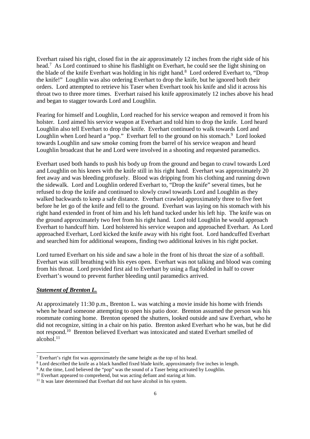Everhart raised his right, closed fist in the air approximately 12 inches from the right side of his head.<sup>7</sup> As Lord continued to shine his flashlight on Everhart, he could see the light shining on the blade of the knife Everhart was holding in his right hand.<sup>8</sup> Lord ordered Everhart to, "Drop" the knife!" Loughlin was also ordering Everhart to drop the knife, but he ignored both their orders. Lord attempted to retrieve his Taser when Everhart took his knife and slid it across his throat two to three more times. Everhart raised his knife approximately 12 inches above his head and began to stagger towards Lord and Loughlin.

Fearing for himself and Loughlin, Lord reached for his service weapon and removed it from his holster. Lord aimed his service weapon at Everhart and told him to drop the knife. Lord heard Loughlin also tell Everhart to drop the knife. Everhart continued to walk towards Lord and Loughlin when Lord heard a "pop." Everhart fell to the ground on his stomach.<sup>9</sup> Lord looked towards Loughlin and saw smoke coming from the barrel of his service weapon and heard Loughlin broadcast that he and Lord were involved in a shooting and requested paramedics.

Everhart used both hands to push his body up from the ground and began to crawl towards Lord and Loughlin on his knees with the knife still in his right hand. Everhart was approximately 20 feet away and was bleeding profusely. Blood was dripping from his clothing and running down the sidewalk. Lord and Loughlin ordered Everhart to, "Drop the knife" several times, but he refused to drop the knife and continued to slowly crawl towards Lord and Loughlin as they walked backwards to keep a safe distance. Everhart crawled approximately three to five feet before he let go of the knife and fell to the ground. Everhart was laying on his stomach with his right hand extended in front of him and his left hand tucked under his left hip. The knife was on the ground approximately two feet from his right hand. Lord told Loughlin he would approach Everhart to handcuff him. Lord holstered his service weapon and approached Everhart. As Lord approached Everhart, Lord kicked the knife away with his right foot. Lord handcuffed Everhart and searched him for additional weapons, finding two additional knives in his right pocket.

Lord turned Everhart on his side and saw a hole in the front of his throat the size of a softball. Everhart was still breathing with his eyes open. Everhart was not talking and blood was coming from his throat. Lord provided first aid to Everhart by using a flag folded in half to cover Everhart's wound to prevent further bleeding until paramedics arrived.

#### *Statement of Brenton L.*

At approximately 11:30 p.m., Brenton L. was watching a movie inside his home with friends when he heard someone attempting to open his patio door. Brenton assumed the person was his roommate coming home. Brenton opened the shutters, looked outside and saw Everhart, who he did not recognize, sitting in a chair on his patio. Brenton asked Everhart who he was, but he did not respond.<sup>10</sup> Brenton believed Everhart was intoxicated and stated Everhart smelled of alcohol $^{11}$ 

<sup>7</sup> Everhart's right fist was approximately the same height as the top of his head.

<sup>&</sup>lt;sup>8</sup> Lord described the knife as a black handled fixed blade knife, approximately five inches in length.

<sup>&</sup>lt;sup>9</sup> At the time, Lord believed the "pop" was the sound of a Taser being activated by Loughlin.

<sup>&</sup>lt;sup>10</sup> Everhart appeared to comprehend, but was acting defiant and staring at him.

<sup>&</sup>lt;sup>11</sup> It was later determined that Everhart did not have alcohol in his system.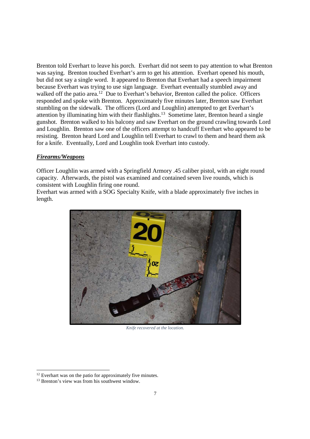Brenton told Everhart to leave his porch. Everhart did not seem to pay attention to what Brenton was saying. Brenton touched Everhart's arm to get his attention. Everhart opened his mouth, but did not say a single word. It appeared to Brenton that Everhart had a speech impairment because Everhart was trying to use sign language. Everhart eventually stumbled away and walked off the patio area.<sup>12</sup> Due to Everhart's behavior, Brenton called the police. Officers responded and spoke with Brenton. Approximately five minutes later, Brenton saw Everhart stumbling on the sidewalk. The officers (Lord and Loughlin) attempted to get Everhart's attention by illuminating him with their flashlights.<sup>13</sup> Sometime later, Brenton heard a single gunshot. Brenton walked to his balcony and saw Everhart on the ground crawling towards Lord and Loughlin. Brenton saw one of the officers attempt to handcuff Everhart who appeared to be resisting. Brenton heard Lord and Loughlin tell Everhart to crawl to them and heard them ask for a knife. Eventually, Lord and Loughlin took Everhart into custody.

#### *Firearms/Weapons*

Officer Loughlin was armed with a Springfield Armory .45 caliber pistol, with an eight round capacity. Afterwards, the pistol was examined and contained seven live rounds, which is consistent with Loughlin firing one round.

Everhart was armed with a SOG Specialty Knife, with a blade approximately five inches in length.



*Knife recovered at the location.*

<sup>&</sup>lt;sup>12</sup> Everhart was on the patio for approximately five minutes.

<sup>&</sup>lt;sup>13</sup> Brenton's view was from his southwest window.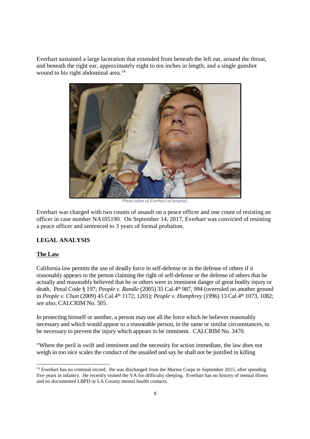Everhart sustained a large laceration that extended from beneath the left ear, around the throat, and beneath the right ear, approximately eight to ten inches in length; and a single gunshot wound to his right abdominal area.<sup>14</sup>



*Photo taken of Everhart at hospital.*

Everhart was charged with two counts of assault on a peace officer and one count of resisting an officer in case number NA105190. On September 14, 2017, Everhart was convicted of resisting a peace officer and sentenced to 3 years of formal probation.

#### **LEGAL ANALYSIS**

#### **The Law**

California law permits the use of deadly force in self-defense or in the defense of others if it reasonably appears to the person claiming the right of self-defense or the defense of others that he actually and reasonably believed that he or others were in imminent danger of great bodily injury or death. Penal Code § 197; *People v. Randle* (2005) 35 Cal.4th 987, 994 (overruled on another ground in *People v. Chun* (2009) 45 Cal.4<sup>th</sup> 1172, 1201); *People v. Humphrey* (1996) 13 Cal.4<sup>th</sup> 1073, 1082; *see also,* CALCRIM No. 505.

In protecting himself or another, a person may use all the force which he believes reasonably necessary and which would appear to a reasonable person, in the same or similar circumstances, to be necessary to prevent the injury which appears to be imminent. CALCRIM No. 3470.

"Where the peril is swift and imminent and the necessity for action immediate, the law does not weigh in too nice scales the conduct of the assailed and say he shall not be justified in killing

<sup>&</sup>lt;sup>14</sup> Everhart has no criminal record. He was discharged from the Marine Corps in September 2015, after spending five years in infantry. He recently visited the VA for difficulty sleeping. Everhart has no history of mental illness and no documented LBPD or LA County mental health contacts.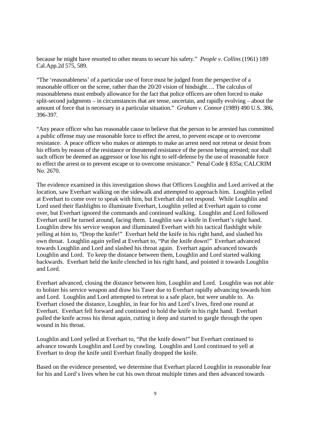because he might have resorted to other means to secure his safety." *People v. Collins* (1961) 189 Cal.App.2d 575, 589.

"The 'reasonableness' of a particular use of force must be judged from the perspective of a reasonable officer on the scene, rather than the 20/20 vision of hindsight…. The calculus of reasonableness must embody allowance for the fact that police officers are often forced to make split-second judgments – in circumstances that are tense, uncertain, and rapidly evolving – about the amount of force that is necessary in a particular situation." *Graham v. Connor* (1989) 490 U.S. 386, 396-397.

"Any peace officer who has reasonable cause to believe that the person to be arrested has committed a public offense may use reasonable force to effect the arrest, to prevent escape or to overcome resistance. A peace officer who makes or attempts to make an arrest need not retreat or desist from his efforts by reason of the resistance or threatened resistance of the person being arrested; nor shall such officer be deemed an aggressor or lose his right to self-defense by the use of reasonable force to effect the arrest or to prevent escape or to overcome resistance." Penal Code § 835a; CALCRIM No. 2670.

The evidence examined in this investigation shows that Officers Loughlin and Lord arrived at the location, saw Everhart walking on the sidewalk and attempted to approach him. Loughlin yelled at Everhart to come over to speak with him, but Everhart did not respond. While Loughlin and Lord used their flashlights to illuminate Everhart, Loughlin yelled at Everhart again to come over, but Everhart ignored the commands and continued walking. Loughlin and Lord followed Everhart until he turned around, facing them. Loughlin saw a knife in Everhart's right hand. Loughlin drew his service weapon and illuminated Everhart with his tactical flashlight while yelling at him to, "Drop the knife!" Everhart held the knife in his right hand, and slashed his own throat. Loughlin again yelled at Everhart to, "Put the knife down!" Everhart advanced towards Loughlin and Lord and slashed his throat again. Everhart again advanced towards Loughlin and Lord. To keep the distance between them, Loughlin and Lord started walking backwards. Everhart held the knife clenched in his right hand, and pointed it towards Loughlin and Lord.

Everhart advanced, closing the distance between him, Loughlin and Lord. Loughlin was not able to holster his service weapon and draw his Taser due to Everhart rapidly advancing towards him and Lord. Loughlin and Lord attempted to retreat to a safe place, but were unable to. As Everhart closed the distance, Loughlin, in fear for his and Lord's lives, fired one round at Everhart. Everhart fell forward and continued to hold the knife in his right hand. Everhart pulled the knife across his throat again, cutting it deep and started to gargle through the open wound in his throat.

Loughlin and Lord yelled at Everhart to, "Put the knife down!" but Everhart continued to advance towards Loughlin and Lord by crawling. Loughlin and Lord continued to yell at Everhart to drop the knife until Everhart finally dropped the knife.

Based on the evidence presented, we determine that Everhart placed Loughlin in reasonable fear for his and Lord's lives when he cut his own throat multiple times and then advanced towards